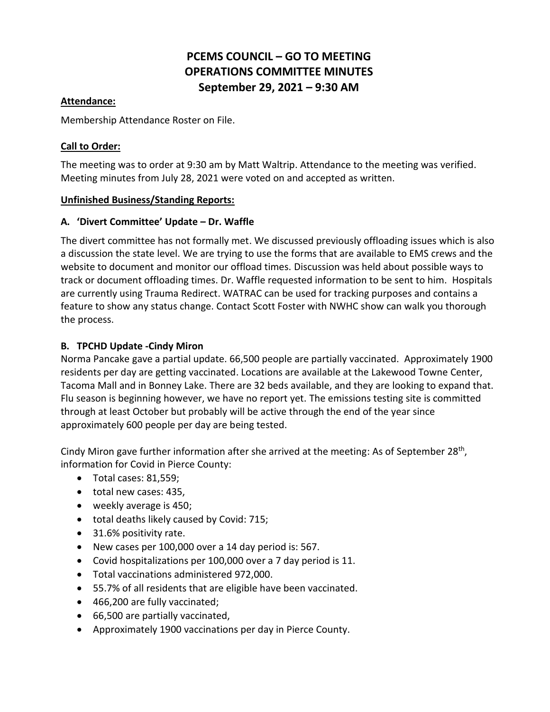# **PCEMS COUNCIL – GO TO MEETING OPERATIONS COMMITTEE MINUTES September 29, 2021 – 9:30 AM**

### **Attendance:**

Membership Attendance Roster on File.

## **Call to Order:**

The meeting was to order at 9:30 am by Matt Waltrip. Attendance to the meeting was verified. Meeting minutes from July 28, 2021 were voted on and accepted as written.

### **Unfinished Business/Standing Reports:**

### **A. 'Divert Committee' Update – Dr. Waffle**

The divert committee has not formally met. We discussed previously offloading issues which is also a discussion the state level. We are trying to use the forms that are available to EMS crews and the website to document and monitor our offload times. Discussion was held about possible ways to track or document offloading times. Dr. Waffle requested information to be sent to him. Hospitals are currently using Trauma Redirect. WATRAC can be used for tracking purposes and contains a feature to show any status change. Contact Scott Foster with NWHC show can walk you thorough the process.

# **B. TPCHD Update -Cindy Miron**

Norma Pancake gave a partial update. 66,500 people are partially vaccinated. Approximately 1900 residents per day are getting vaccinated. Locations are available at the Lakewood Towne Center, Tacoma Mall and in Bonney Lake. There are 32 beds available, and they are looking to expand that. Flu season is beginning however, we have no report yet. The emissions testing site is committed through at least October but probably will be active through the end of the year since approximately 600 people per day are being tested.

Cindy Miron gave further information after she arrived at the meeting: As of September 28<sup>th</sup>, information for Covid in Pierce County:

- Total cases: 81,559;
- total new cases: 435,
- weekly average is 450;
- total deaths likely caused by Covid: 715;
- 31.6% positivity rate.
- New cases per 100,000 over a 14 day period is: 567.
- Covid hospitalizations per 100,000 over a 7 day period is 11.
- Total vaccinations administered 972,000.
- 55.7% of all residents that are eligible have been vaccinated.
- 466,200 are fully vaccinated;
- 66,500 are partially vaccinated,
- Approximately 1900 vaccinations per day in Pierce County.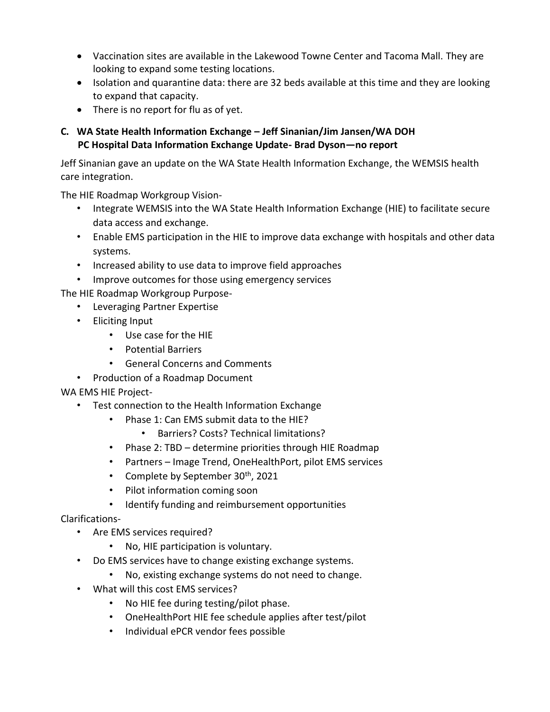- Vaccination sites are available in the Lakewood Towne Center and Tacoma Mall. They are looking to expand some testing locations.
- Isolation and quarantine data: there are 32 beds available at this time and they are looking to expand that capacity.
- There is no report for flu as of yet.

# **C. WA State Health Information Exchange – Jeff Sinanian/Jim Jansen/WA DOH PC Hospital Data Information Exchange Update- Brad Dyson—no report**

Jeff Sinanian gave an update on the WA State Health Information Exchange, the WEMSIS health care integration.

The HIE Roadmap Workgroup Vision-

- Integrate WEMSIS into the WA State Health Information Exchange (HIE) to facilitate secure data access and exchange.
- Enable EMS participation in the HIE to improve data exchange with hospitals and other data systems.
- Increased ability to use data to improve field approaches

• Improve outcomes for those using emergency services

The HIE Roadmap Workgroup Purpose-

- Leveraging Partner Expertise
- Eliciting Input
	- Use case for the HIE
	- Potential Barriers
	- General Concerns and Comments
- Production of a Roadmap Document

# WA EMS HIE Project-

- Test connection to the Health Information Exchange
	- Phase 1: Can EMS submit data to the HIE?
		- Barriers? Costs? Technical limitations?
	- Phase 2: TBD determine priorities through HIE Roadmap
	- Partners Image Trend, OneHealthPort, pilot EMS services
	- Complete by September 30<sup>th</sup>, 2021
	- Pilot information coming soon
	- Identify funding and reimbursement opportunities

# Clarifications-

- Are EMS services required?
	- No, HIE participation is voluntary.
- Do EMS services have to change existing exchange systems.
	- No, existing exchange systems do not need to change.
- What will this cost EMS services?
	- No HIE fee during testing/pilot phase.
	- OneHealthPort HIE fee schedule applies after test/pilot
	- Individual ePCR vendor fees possible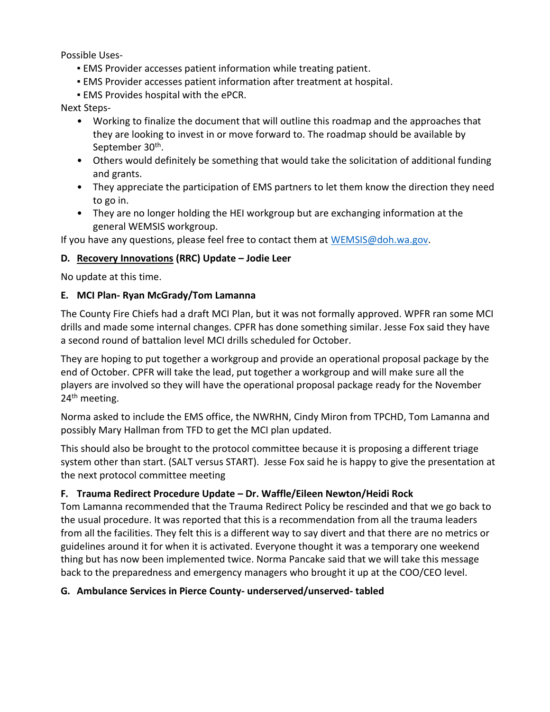Possible Uses-

- **EMS Provider accesses patient information while treating patient.**
- **EMS Provider accesses patient information after treatment at hospital.**
- **EMS Provides hospital with the ePCR.**

Next Steps-

- Working to finalize the document that will outline this roadmap and the approaches that they are looking to invest in or move forward to. The roadmap should be available by September 30<sup>th</sup>.
- Others would definitely be something that would take the solicitation of additional funding and grants.
- They appreciate the participation of EMS partners to let them know the direction they need to go in.
- They are no longer holding the HEI workgroup but are exchanging information at the general WEMSIS workgroup.

If you have any questions, please feel free to contact them at [WEMSIS@doh.wa.gov.](mailto:WEMSIS@doh.wa.gov)

# **D. Recovery Innovations (RRC) Update – Jodie Leer**

No update at this time.

# **E. MCI Plan- Ryan McGrady/Tom Lamanna**

The County Fire Chiefs had a draft MCI Plan, but it was not formally approved. WPFR ran some MCI drills and made some internal changes. CPFR has done something similar. Jesse Fox said they have a second round of battalion level MCI drills scheduled for October.

They are hoping to put together a workgroup and provide an operational proposal package by the end of October. CPFR will take the lead, put together a workgroup and will make sure all the players are involved so they will have the operational proposal package ready for the November 24<sup>th</sup> meeting.

Norma asked to include the EMS office, the NWRHN, Cindy Miron from TPCHD, Tom Lamanna and possibly Mary Hallman from TFD to get the MCI plan updated.

This should also be brought to the protocol committee because it is proposing a different triage system other than start. (SALT versus START). Jesse Fox said he is happy to give the presentation at the next protocol committee meeting

# **F. Trauma Redirect Procedure Update – Dr. Waffle/Eileen Newton/Heidi Rock**

Tom Lamanna recommended that the Trauma Redirect Policy be rescinded and that we go back to the usual procedure. It was reported that this is a recommendation from all the trauma leaders from all the facilities. They felt this is a different way to say divert and that there are no metrics or guidelines around it for when it is activated. Everyone thought it was a temporary one weekend thing but has now been implemented twice. Norma Pancake said that we will take this message back to the preparedness and emergency managers who brought it up at the COO/CEO level.

# **G. Ambulance Services in Pierce County- underserved/unserved- tabled**